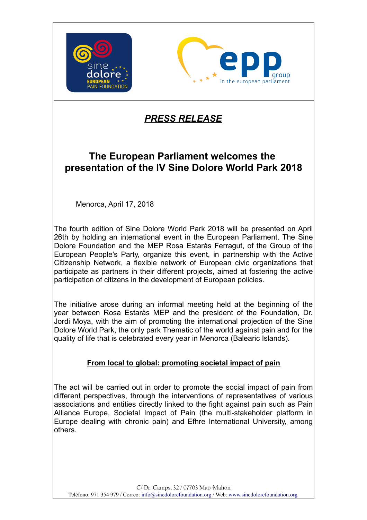



## *PRESS RELEASE*

## **The European Parliament welcomes the presentation of the IV Sine Dolore World Park 2018**

Menorca, April 17, 2018

The fourth edition of Sine Dolore World Park 2018 will be presented on April 26th by holding an international event in the European Parliament. The Sine Dolore Foundation and the MEP Rosa Estaràs Ferragut, of the Group of the European People's Party, organize this event, in partnership with the Active Citizenship Network, a flexible network of European civic organizations that participate as partners in their different projects, aimed at fostering the active participation of citizens in the development of European policies.

The initiative arose during an informal meeting held at the beginning of the year between Rosa Estaràs MEP and the president of the Foundation, Dr. Jordi Moya, with the aim of promoting the international projection of the Sine Dolore World Park, the only park Thematic of the world against pain and for the quality of life that is celebrated every year in Menorca (Balearic Islands).

## **From local to global: promoting societal impact of pain**

The act will be carried out in order to promote the social impact of pain from different perspectives, through the interventions of representatives of various associations and entities directly linked to the fight against pain such as Pain Alliance Europe, Societal Impact of Pain (the multi-stakeholder platform in Europe dealing with chronic pain) and Efhre International University, among others.